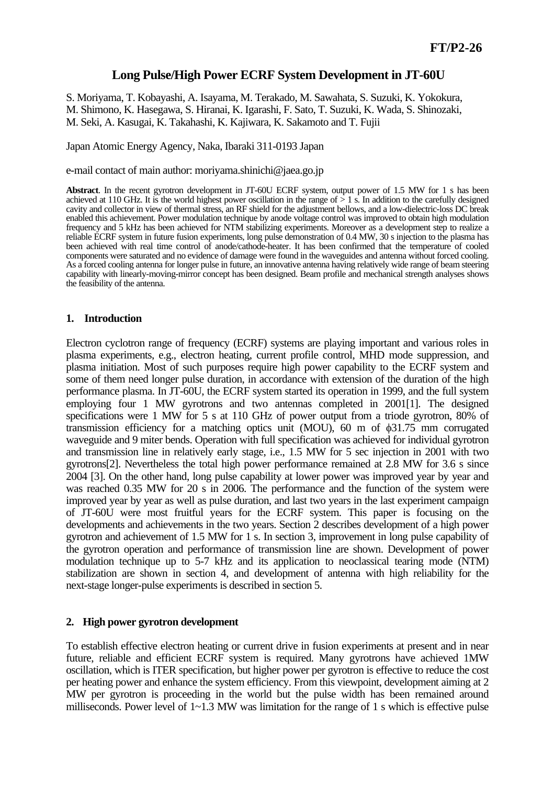# **Long Pulse/High Power ECRF System Development in JT-60U**

S. Moriyama, T. Kobayashi, A. Isayama, M. Terakado, M. Sawahata, S. Suzuki, K. Yokokura, M. Shimono, K. Hasegawa, S. Hiranai, K. Igarashi, F. Sato, T. Suzuki, K. Wada, S. Shinozaki, M. Seki, A. Kasugai, K. Takahashi, K. Kajiwara, K. Sakamoto and T. Fujii

Japan Atomic Energy Agency, Naka, Ibaraki 311-0193 Japan

e-mail contact of main author: moriyama.shinichi@jaea.go.jp

**Abstract**. In the recent gyrotron development in JT-60U ECRF system, output power of 1.5 MW for 1 s has been achieved at 110 GHz. It is the world highest power oscillation in the range of  $> 1$  s. In addition to the carefully designed cavity and collector in view of thermal stress, an RF shield for the adjustment bellows, and a low-dielectric-loss DC break enabled this achievement. Power modulation technique by anode voltage control was improved to obtain high modulation frequency and 5 kHz has been achieved for NTM stabilizing experiments. Moreover as a development step to realize a reliable ECRF system in future fusion experiments, long pulse demonstration of 0.4 MW, 30 s injection to the plasma has been achieved with real time control of anode/cathode-heater. It has been confirmed that the temperature of cooled components were saturated and no evidence of damage were found in the waveguides and antenna without forced cooling. As a forced cooling antenna for longer pulse in future, an innovative antenna having relatively wide range of beam steering capability with linearly-moving-mirror concept has been designed. Beam profile and mechanical strength analyses shows the feasibility of the antenna.

### **1. Introduction**

Electron cyclotron range of frequency (ECRF) systems are playing important and various roles in plasma experiments, e.g., electron heating, current profile control, MHD mode suppression, and plasma initiation. Most of such purposes require high power capability to the ECRF system and some of them need longer pulse duration, in accordance with extension of the duration of the high performance plasma. In JT-60U, the ECRF system started its operation in 1999, and the full system employing four 1 MW gyrotrons and two antennas completed in 2001[1]. The designed specifications were 1 MW for 5 s at 110 GHz of power output from a triode gyrotron, 80% of transmission efficiency for a matching optics unit (MOU), 60 m of φ31.75 mm corrugated waveguide and 9 miter bends. Operation with full specification was achieved for individual gyrotron and transmission line in relatively early stage, i.e., 1.5 MW for 5 sec injection in 2001 with two gyrotrons[2]. Nevertheless the total high power performance remained at 2.8 MW for 3.6 s since 2004 [3]. On the other hand, long pulse capability at lower power was improved year by year and was reached 0.35 MW for 20 s in 2006. The performance and the function of the system were improved year by year as well as pulse duration, and last two years in the last experiment campaign of JT-60U were most fruitful years for the ECRF system. This paper is focusing on the developments and achievements in the two years. Section 2 describes development of a high power gyrotron and achievement of 1.5 MW for 1 s. In section 3, improvement in long pulse capability of the gyrotron operation and performance of transmission line are shown. Development of power modulation technique up to 5-7 kHz and its application to neoclassical tearing mode (NTM) stabilization are shown in section 4, and development of antenna with high reliability for the next-stage longer-pulse experiments is described in section 5.

### **2. High power gyrotron development**

To establish effective electron heating or current drive in fusion experiments at present and in near future, reliable and efficient ECRF system is required. Many gyrotrons have achieved 1MW oscillation, which is ITER specification, but higher power per gyrotron is effective to reduce the cost per heating power and enhance the system efficiency. From this viewpoint, development aiming at 2 MW per gyrotron is proceeding in the world but the pulse width has been remained around milliseconds. Power level of  $1~1~3$  MW was limitation for the range of 1 s which is effective pulse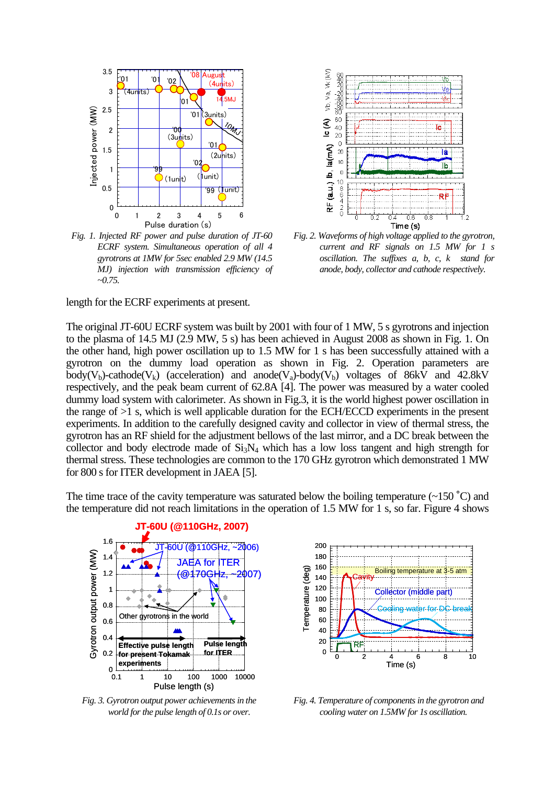

*Fig. 1. Injected RF power and pulse duration of JT-60 ECRF system. Simultaneous operation of all 4 gyrotrons at 1MW for 5sec enabled 2.9 MW (14.5 MJ) injection with transmission efficiency of ~0.75.* 

length for the ECRF experiments at present.



*Fig. 2. Waveforms of high voltage applied to the gyrotron, current and RF signals on 1.5 MW for 1 s oscillation. The suffixes a, b, c, k stand for anode, body, collector and cathode respectively.* 

The original JT-60U ECRF system was built by 2001 with four of 1 MW, 5 s gyrotrons and injection to the plasma of 14.5 MJ (2.9 MW, 5 s) has been achieved in August 2008 as shown in Fig. 1. On the other hand, high power oscillation up to 1.5 MW for 1 s has been successfully attained with a gyrotron on the dummy load operation as shown in Fig. 2. Operation parameters are body(V<sub>b</sub>)-cathode(V<sub>k</sub>) (acceleration) and anode(V<sub>a</sub>)-body(V<sub>b</sub>) voltages of 86kV and 42.8kV respectively, and the peak beam current of 62.8A [4]. The power was measured by a water cooled dummy load system with calorimeter. As shown in Fig.3, it is the world highest power oscillation in the range of >1 s, which is well applicable duration for the ECH/ECCD experiments in the present experiments. In addition to the carefully designed cavity and collector in view of thermal stress, the gyrotron has an RF shield for the adjustment bellows of the last mirror, and a DC break between the collector and body electrode made of  $Si<sub>3</sub>N<sub>4</sub>$  which has a low loss tangent and high strength for thermal stress. These technologies are common to the 170 GHz gyrotron which demonstrated 1 MW for 800 s for ITER development in JAEA [5].

The time trace of the cavity temperature was saturated below the boiling temperature  $\left(\sim 150\degree C\right)$  and the temperature did not reach limitations in the operation of 1.5 MW for 1 s, so far. Figure 4 shows



*Fig. 3. Gyrotron output power achievements in the world for the pulse length of 0.1s or over.* 



*Fig. 4. Temperature of components in the gyrotron and cooling water on 1.5MW for 1s oscillation.*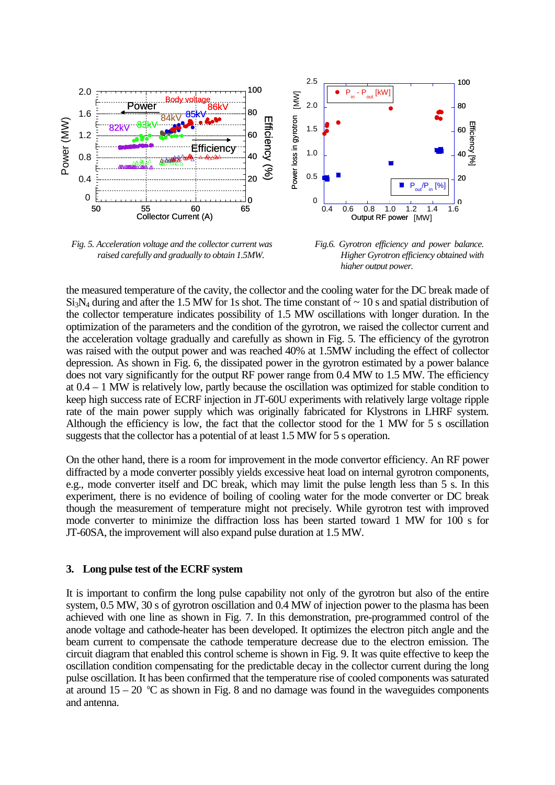

*Fig. 5. Acceleration voltage and the collector current was raised carefully and gradually to obtain 1.5MW.* 

*Fig.6. Gyrotron efficiency and power balance. Higher Gyrotron efficiency obtained with higher output power.*

the measured temperature of the cavity, the collector and the cooling water for the DC break made of  $Si<sub>3</sub>N<sub>4</sub>$  during and after the 1.5 MW for 1s shot. The time constant of  $\sim$  10 s and spatial distribution of the collector temperature indicates possibility of 1.5 MW oscillations with longer duration. In the optimization of the parameters and the condition of the gyrotron, we raised the collector current and the acceleration voltage gradually and carefully as shown in Fig. 5. The efficiency of the gyrotron was raised with the output power and was reached 40% at 1.5MW including the effect of collector depression. As shown in Fig. 6, the dissipated power in the gyrotron estimated by a power balance does not vary significantly for the output RF power range from 0.4 MW to 1.5 MW. The efficiency at 0.4 – 1 MW is relatively low, partly because the oscillation was optimized for stable condition to keep high success rate of ECRF injection in JT-60U experiments with relatively large voltage ripple rate of the main power supply which was originally fabricated for Klystrons in LHRF system. Although the efficiency is low, the fact that the collector stood for the 1 MW for 5 s oscillation suggests that the collector has a potential of at least 1.5 MW for 5 s operation.

On the other hand, there is a room for improvement in the mode convertor efficiency. An RF power diffracted by a mode converter possibly yields excessive heat load on internal gyrotron components, e.g., mode converter itself and DC break, which may limit the pulse length less than 5 s. In this experiment, there is no evidence of boiling of cooling water for the mode converter or DC break though the measurement of temperature might not precisely. While gyrotron test with improved mode converter to minimize the diffraction loss has been started toward 1 MW for 100 s for JT-60SA, the improvement will also expand pulse duration at 1.5 MW.

# **3. Long pulse test of the ECRF system**

It is important to confirm the long pulse capability not only of the gyrotron but also of the entire system, 0.5 MW, 30 s of gyrotron oscillation and 0.4 MW of injection power to the plasma has been achieved with one line as shown in Fig. 7. In this demonstration, pre-programmed control of the anode voltage and cathode-heater has been developed. It optimizes the electron pitch angle and the beam current to compensate the cathode temperature decrease due to the electron emission. The circuit diagram that enabled this control scheme is shown in Fig. 9. It was quite effective to keep the oscillation condition compensating for the predictable decay in the collector current during the long pulse oscillation. It has been confirmed that the temperature rise of cooled components was saturated at around  $15 - 20$  °C as shown in Fig. 8 and no damage was found in the waveguides components and antenna.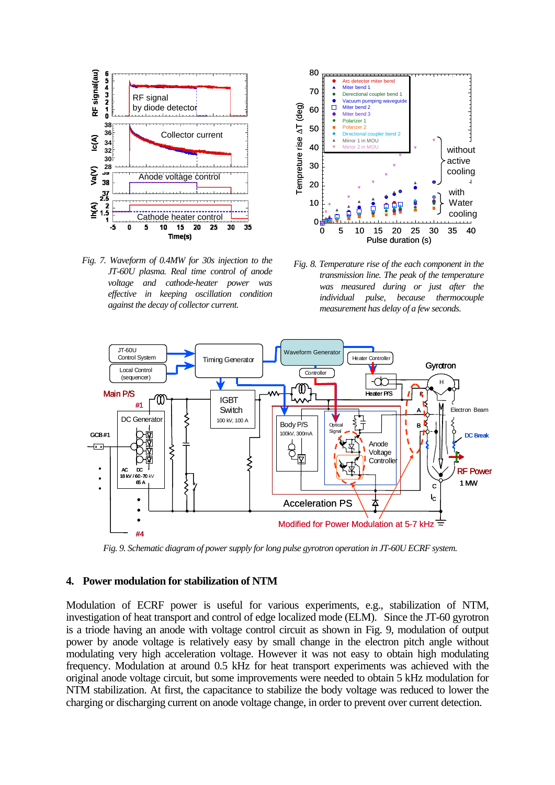

*Fig. 7. Waveform of 0.4MW for 30s injection to the JT-60U plasma. Real time control of anode voltage and cathode-heater power was effective in keeping oscillation condition against the decay of collector current.* 



*Fig. 8. Temperature rise of the each component in the transmission line. The peak of the temperature was measured during or just after the individual pulse, because thermocouple measurement has delay of a few seconds.* 



*Fig. 9. Schematic diagram of power supply for long pulse gyrotron operation in JT-60U ECRF system.* 

### **4. Power modulation for stabilization of NTM**

Modulation of ECRF power is useful for various experiments, e.g., stabilization of NTM, investigation of heat transport and control of edge localized mode (ELM). Since the JT-60 gyrotron is a triode having an anode with voltage control circuit as shown in Fig. 9, modulation of output power by anode voltage is relatively easy by small change in the electron pitch angle without modulating very high acceleration voltage. However it was not easy to obtain high modulating frequency. Modulation at around 0.5 kHz for heat transport experiments was achieved with the original anode voltage circuit, but some improvements were needed to obtain 5 kHz modulation for NTM stabilization. At first, the capacitance to stabilize the body voltage was reduced to lower the charging or discharging current on anode voltage change, in order to prevent over current detection.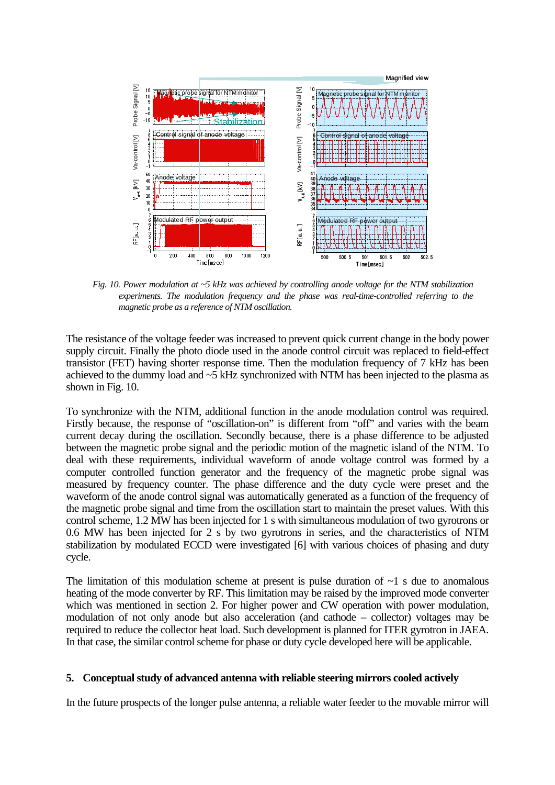

*Fig. 10. Power modulation at ~5 kHz was achieved by controlling anode voltage for the NTM stabilization experiments. The modulation frequency and the phase was real-time-controlled referring to the magnetic probe as a reference of NTM oscillation.* 

The resistance of the voltage feeder was increased to prevent quick current change in the body power supply circuit. Finally the photo diode used in the anode control circuit was replaced to field-effect transistor (FET) having shorter response time. Then the modulation frequency of 7 kHz has been achieved to the dummy load and ~5 kHz synchronized with NTM has been injected to the plasma as shown in Fig. 10.

To synchronize with the NTM, additional function in the anode modulation control was required. Firstly because, the response of "oscillation-on" is different from "off" and varies with the beam current decay during the oscillation. Secondly because, there is a phase difference to be adjusted between the magnetic probe signal and the periodic motion of the magnetic island of the NTM. To deal with these requirements, individual waveform of anode voltage control was formed by a computer controlled function generator and the frequency of the magnetic probe signal was measured by frequency counter. The phase difference and the duty cycle were preset and the waveform of the anode control signal was automatically generated as a function of the frequency of the magnetic probe signal and time from the oscillation start to maintain the preset values. With this control scheme, 1.2 MW has been injected for 1 s with simultaneous modulation of two gyrotrons or 0.6 MW has been injected for 2 s by two gyrotrons in series, and the characteristics of NTM stabilization by modulated ECCD were investigated [6] with various choices of phasing and duty cycle.

The limitation of this modulation scheme at present is pulse duration of  $\sim$ 1 s due to anomalous heating of the mode converter by RF. This limitation may be raised by the improved mode converter which was mentioned in section 2. For higher power and CW operation with power modulation, modulation of not only anode but also acceleration (and cathode – collector) voltages may be required to reduce the collector heat load. Such development is planned for ITER gyrotron in JAEA. In that case, the similar control scheme for phase or duty cycle developed here will be applicable.

### **5. Conceptual study of advanced antenna with reliable steering mirrors cooled actively**

In the future prospects of the longer pulse antenna, a reliable water feeder to the movable mirror will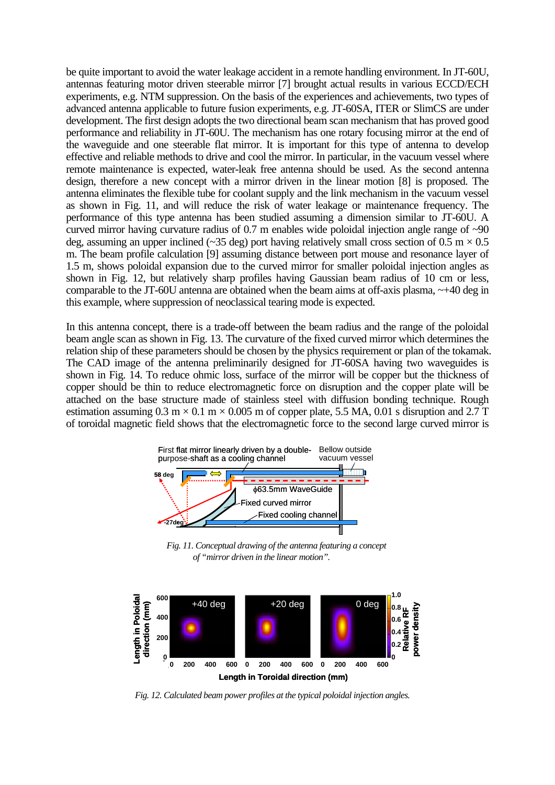be quite important to avoid the water leakage accident in a remote handling environment. In JT-60U, antennas featuring motor driven steerable mirror [7] brought actual results in various ECCD/ECH experiments, e.g. NTM suppression. On the basis of the experiences and achievements, two types of advanced antenna applicable to future fusion experiments, e.g. JT-60SA, ITER or SlimCS are under development. The first design adopts the two directional beam scan mechanism that has proved good performance and reliability in JT-60U. The mechanism has one rotary focusing mirror at the end of the waveguide and one steerable flat mirror. It is important for this type of antenna to develop effective and reliable methods to drive and cool the mirror. In particular, in the vacuum vessel where remote maintenance is expected, water-leak free antenna should be used. As the second antenna design, therefore a new concept with a mirror driven in the linear motion [8] is proposed. The antenna eliminates the flexible tube for coolant supply and the link mechanism in the vacuum vessel as shown in Fig. 11, and will reduce the risk of water leakage or maintenance frequency. The performance of this type antenna has been studied assuming a dimension similar to JT-60U. A curved mirror having curvature radius of 0.7 m enables wide poloidal injection angle range of ~90 deg, assuming an upper inclined (~35 deg) port having relatively small cross section of  $0.5 \text{ m} \times 0.5$ m. The beam profile calculation [9] assuming distance between port mouse and resonance layer of 1.5 m, shows poloidal expansion due to the curved mirror for smaller poloidal injection angles as shown in Fig. 12, but relatively sharp profiles having Gaussian beam radius of 10 cm or less, comparable to the JT-60U antenna are obtained when the beam aims at off-axis plasma, ~+40 deg in this example, where suppression of neoclassical tearing mode is expected.

In this antenna concept, there is a trade-off between the beam radius and the range of the poloidal beam angle scan as shown in Fig. 13. The curvature of the fixed curved mirror which determines the relation ship of these parameters should be chosen by the physics requirement or plan of the tokamak. The CAD image of the antenna preliminarily designed for JT-60SA having two waveguides is shown in Fig. 14. To reduce ohmic loss, surface of the mirror will be copper but the thickness of copper should be thin to reduce electromagnetic force on disruption and the copper plate will be attached on the base structure made of stainless steel with diffusion bonding technique. Rough estimation assuming  $0.3 \text{ m} \times 0.1 \text{ m} \times 0.005 \text{ m}$  of copper plate, 5.5 MA, 0.01 s disruption and 2.7 T of toroidal magnetic field shows that the electromagnetic force to the second large curved mirror is



*Fig. 11. Conceptual drawing of the antenna featuring a concept of "mirror driven in the linear motion".* 



*Fig. 12. Calculated beam power profiles at the typical poloidal injection angles.*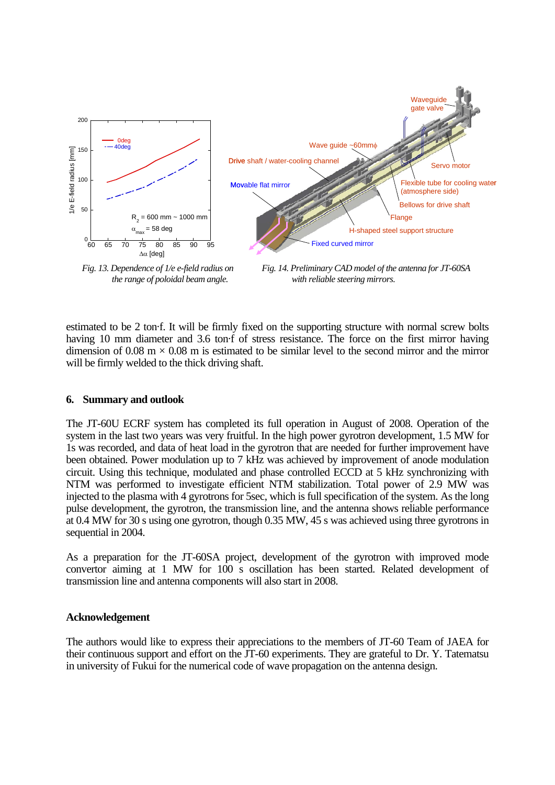

*Fig. 13. Dependence of 1/e e-field radius on the range of poloidal beam angle.* 

*Fig. 14. Preliminary CAD model of the antenna for JT-60SA with reliable steering mirrors.* 

estimated to be 2 ton·f. It will be firmly fixed on the supporting structure with normal screw bolts having 10 mm diameter and 3.6 ton·f of stress resistance. The force on the first mirror having dimension of 0.08 m  $\times$  0.08 m is estimated to be similar level to the second mirror and the mirror will be firmly welded to the thick driving shaft.

# **6. Summary and outlook**

The JT-60U ECRF system has completed its full operation in August of 2008. Operation of the system in the last two years was very fruitful. In the high power gyrotron development, 1.5 MW for 1s was recorded, and data of heat load in the gyrotron that are needed for further improvement have been obtained. Power modulation up to 7 kHz was achieved by improvement of anode modulation circuit. Using this technique, modulated and phase controlled ECCD at 5 kHz synchronizing with NTM was performed to investigate efficient NTM stabilization. Total power of 2.9 MW was injected to the plasma with 4 gyrotrons for 5sec, which is full specification of the system. As the long pulse development, the gyrotron, the transmission line, and the antenna shows reliable performance at 0.4 MW for 30 s using one gyrotron, though 0.35 MW, 45 s was achieved using three gyrotrons in sequential in 2004.

As a preparation for the JT-60SA project, development of the gyrotron with improved mode convertor aiming at 1 MW for 100 s oscillation has been started. Related development of transmission line and antenna components will also start in 2008.

# **Acknowledgement**

The authors would like to express their appreciations to the members of JT-60 Team of JAEA for their continuous support and effort on the JT-60 experiments. They are grateful to Dr. Y. Tatematsu in university of Fukui for the numerical code of wave propagation on the antenna design.